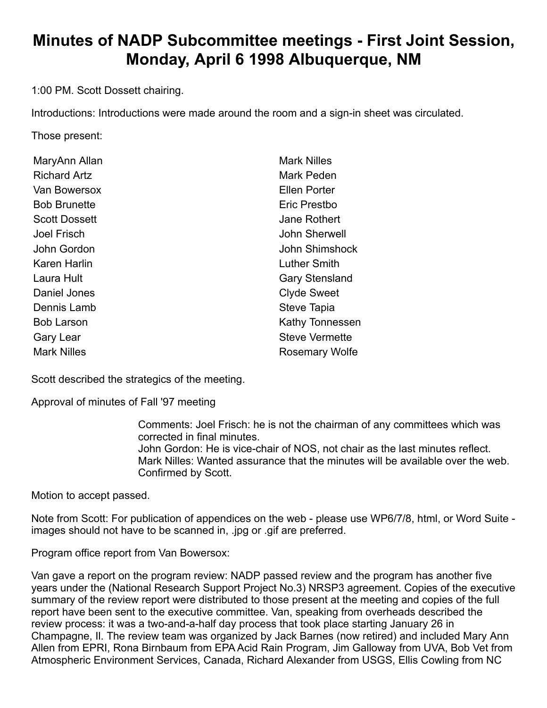# **Minutes of NADP Subcommittee meetings - First Joint Session, Monday, April 6 1998 Albuquerque, NM**

1:00 PM. Scott Dossett chairing.

Introductions: Introductions were made around the room and a sign-in sheet was circulated.

Those present:

| MaryAnn Allan        | <b>Mark Nilles</b>     |
|----------------------|------------------------|
| <b>Richard Artz</b>  | Mark Peden             |
| Van Bowersox         | Ellen Porter           |
| <b>Bob Brunette</b>  | Eric Prestbo           |
| <b>Scott Dossett</b> | Jane Rothert           |
| Joel Frisch          | John Sherwell          |
| John Gordon          | John Shimshock         |
| <b>Karen Harlin</b>  | <b>Luther Smith</b>    |
| Laura Hult           | <b>Gary Stensland</b>  |
| Daniel Jones         | <b>Clyde Sweet</b>     |
| Dennis Lamb          | <b>Steve Tapia</b>     |
| <b>Bob Larson</b>    | <b>Kathy Tonnessen</b> |
| <b>Gary Lear</b>     | <b>Steve Vermette</b>  |
| <b>Mark Nilles</b>   | <b>Rosemary Wolfe</b>  |

Scott described the strategics of the meeting.

Approval of minutes of Fall '97 meeting

Comments: Joel Frisch: he is not the chairman of any committees which was corrected in final minutes. John Gordon: He is vice-chair of NOS, not chair as the last minutes reflect. Mark Nilles: Wanted assurance that the minutes will be available over the web. Confirmed by Scott.

Motion to accept passed.

Note from Scott: For publication of appendices on the web - please use WP6/7/8, html, or Word Suite images should not have to be scanned in, .jpg or .gif are preferred.

Program office report from Van Bowersox:

Van gave a report on the program review: NADP passed review and the program has another five years under the (National Research Support Project No.3) NRSP3 agreement. Copies of the executive summary of the review report were distributed to those present at the meeting and copies of the full report have been sent to the executive committee. Van, speaking from overheads described the review process: it was a two-and-a-half day process that took place starting January 26 in Champagne, Il. The review team was organized by Jack Barnes (now retired) and included Mary Ann Allen from EPRI, Rona Birnbaum from EPA Acid Rain Program, Jim Galloway from UVA, Bob Vet from Atmospheric Environment Services, Canada, Richard Alexander from USGS, Ellis Cowling from NC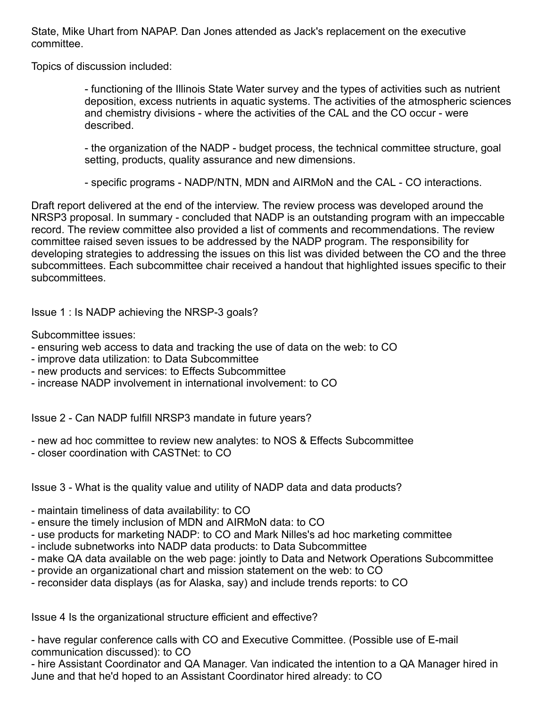State, Mike Uhart from NAPAP. Dan Jones attended as Jack's replacement on the executive committee.

Topics of discussion included:

- functioning of the Illinois State Water survey and the types of activities such as nutrient deposition, excess nutrients in aquatic systems. The activities of the atmospheric sciences and chemistry divisions - where the activities of the CAL and the CO occur - were described.

- the organization of the NADP - budget process, the technical committee structure, goal setting, products, quality assurance and new dimensions.

- specific programs - NADP/NTN, MDN and AIRMoN and the CAL - CO interactions.

Draft report delivered at the end of the interview. The review process was developed around the NRSP3 proposal. In summary - concluded that NADP is an outstanding program with an impeccable record. The review committee also provided a list of comments and recommendations. The review committee raised seven issues to be addressed by the NADP program. The responsibility for developing strategies to addressing the issues on this list was divided between the CO and the three subcommittees. Each subcommittee chair received a handout that highlighted issues specific to their subcommittees.

Issue 1 : Is NADP achieving the NRSP-3 goals?

Subcommittee issues:

- ensuring web access to data and tracking the use of data on the web: to CO
- improve data utilization: to Data Subcommittee
- new products and services: to Effects Subcommittee
- increase NADP involvement in international involvement: to CO

Issue 2 - Can NADP fulfill NRSP3 mandate in future years?

- new ad hoc committee to review new analytes: to NOS & Effects Subcommittee
- closer coordination with CASTNet: to CO

Issue 3 - What is the quality value and utility of NADP data and data products?

- maintain timeliness of data availability: to CO

- ensure the timely inclusion of MDN and AIRMoN data: to CO
- use products for marketing NADP: to CO and Mark Nilles's ad hoc marketing committee
- include subnetworks into NADP data products: to Data Subcommittee
- make QA data available on the web page: jointly to Data and Network Operations Subcommittee
- provide an organizational chart and mission statement on the web: to CO
- reconsider data displays (as for Alaska, say) and include trends reports: to CO

Issue 4 Is the organizational structure efficient and effective?

- have regular conference calls with CO and Executive Committee. (Possible use of E-mail communication discussed): to CO

- hire Assistant Coordinator and QA Manager. Van indicated the intention to a QA Manager hired in June and that he'd hoped to an Assistant Coordinator hired already: to CO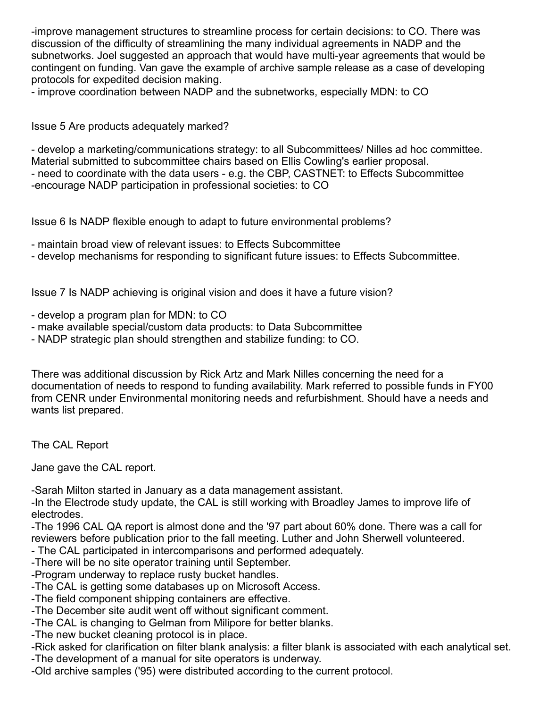-improve management structures to streamline process for certain decisions: to CO. There was discussion of the difficulty of streamlining the many individual agreements in NADP and the subnetworks. Joel suggested an approach that would have multi-year agreements that would be contingent on funding. Van gave the example of archive sample release as a case of developing protocols for expedited decision making.

- improve coordination between NADP and the subnetworks, especially MDN: to CO

Issue 5 Are products adequately marked?

- develop a marketing/communications strategy: to all Subcommittees/ Nilles ad hoc committee. Material submitted to subcommittee chairs based on Ellis Cowling's earlier proposal. - need to coordinate with the data users - e.g. the CBP, CASTNET: to Effects Subcommittee -encourage NADP participation in professional societies: to CO

Issue 6 Is NADP flexible enough to adapt to future environmental problems?

- maintain broad view of relevant issues: to Effects Subcommittee

- develop mechanisms for responding to significant future issues: to Effects Subcommittee.

Issue 7 Is NADP achieving is original vision and does it have a future vision?

- develop a program plan for MDN: to CO
- make available special/custom data products: to Data Subcommittee
- NADP strategic plan should strengthen and stabilize funding: to CO.

There was additional discussion by Rick Artz and Mark Nilles concerning the need for a documentation of needs to respond to funding availability. Mark referred to possible funds in FY00 from CENR under Environmental monitoring needs and refurbishment. Should have a needs and wants list prepared.

The CAL Report

Jane gave the CAL report.

-Sarah Milton started in January as a data management assistant.

-In the Electrode study update, the CAL is still working with Broadley James to improve life of electrodes.

-The 1996 CAL QA report is almost done and the '97 part about 60% done. There was a call for reviewers before publication prior to the fall meeting. Luther and John Sherwell volunteered.

- The CAL participated in intercomparisons and performed adequately.

-There will be no site operator training until September.

-Program underway to replace rusty bucket handles.

-The CAL is getting some databases up on Microsoft Access.

-The field component shipping containers are effective.

-The December site audit went off without significant comment.

-The CAL is changing to Gelman from Milipore for better blanks.

-The new bucket cleaning protocol is in place.

-Rick asked for clarification on filter blank analysis: a filter blank is associated with each analytical set. -The development of a manual for site operators is underway.

-Old archive samples ('95) were distributed according to the current protocol.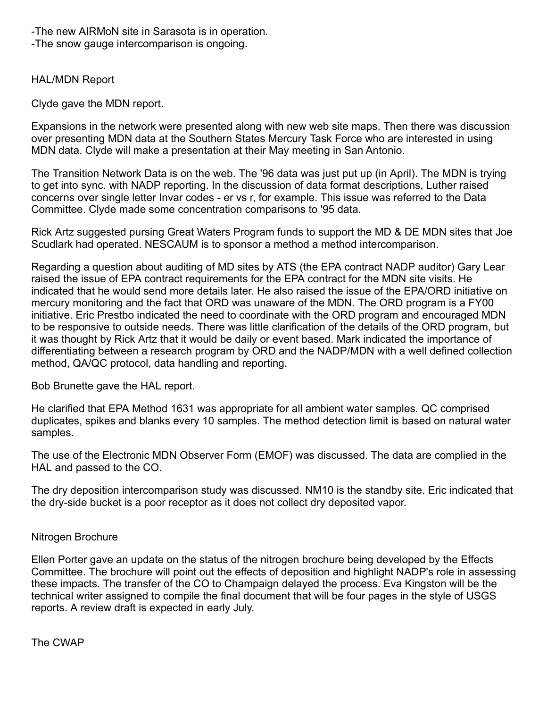-The new AIRMoN site in Sarasota is in operation.

-The snow gauge intercomparison is ongoing.

### HAL/MDN Report

Clyde gave the MDN report.

Expansions in the network were presented along with new web site maps. Then there was discussion over presenting MDN data at the Southern States Mercury Task Force who are interested in using MDN data. Clyde will make a presentation at their May meeting in San Antonio.

The Transition Network Data is on the web. The '96 data was just put up (in April). The MDN is trying to get into sync. with NADP reporting. In the discussion of data format descriptions, Luther raised concerns over single letter Invar codes - er vs r, for example. This issue was referred to the Data Committee. Clyde made some concentration comparisons to '95 data.

Rick Artz suggested pursing Great Waters Program funds to support the MD & DE MDN sites that Joe Scudlark had operated. NESCAUM is to sponsor a method a method intercomparison.

Regarding a question about auditing of MD sites by ATS (the EPA contract NADP auditor) Gary Lear raised the issue of EPA contract requirements for the EPA contract for the MDN site visits. He indicated that he would send more details later. He also raised the issue of the EPA/ORD initiative on mercury monitoring and the fact that ORD was unaware of the MDN. The ORD program is a FY00 initiative. Eric Prestbo indicated the need to coordinate with the ORD program and encouraged MDN to be responsive to outside needs. There was little clarification of the details of the ORD program, but it was thought by Rick Artz that it would be daily or event based. Mark indicated the importance of differentiating between a research program by ORD and the NADP/MDN with a well defined collection method, QA/QC protocol, data handling and reporting.

Bob Brunette gave the HAL report.

He clarified that EPA Method 1631 was appropriate for all ambient water samples. QC comprised duplicates, spikes and blanks every 10 samples. The method detection limit is based on natural water samples.

The use of the Electronic MDN Observer Form (EMOF) was discussed. The data are complied in the HAL and passed to the CO.

The dry deposition intercomparison study was discussed. NM10 is the standby site. Eric indicated that the dry-side bucket is a poor receptor as it does not collect dry deposited vapor.

### Nitrogen Brochure

Ellen Porter gave an update on the status of the nitrogen brochure being developed by the Effects Committee. The brochure will point out the effects of deposition and highlight NADP's role in assessing these impacts. The transfer of the CO to Champaign delayed the process. Eva Kingston will be the technical writer assigned to compile the final document that will be four pages in the style of USGS reports. A review draft is expected in early July.

The CWAP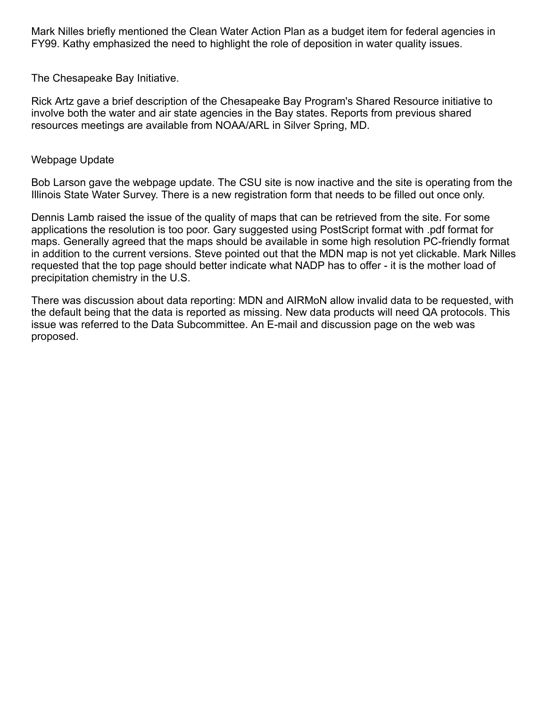Mark Nilles briefly mentioned the Clean Water Action Plan as a budget item for federal agencies in FY99. Kathy emphasized the need to highlight the role of deposition in water quality issues.

The Chesapeake Bay Initiative.

Rick Artz gave a brief description of the Chesapeake Bay Program's Shared Resource initiative to involve both the water and air state agencies in the Bay states. Reports from previous shared resources meetings are available from NOAA/ARL in Silver Spring, MD.

### Webpage Update

Bob Larson gave the webpage update. The CSU site is now inactive and the site is operating from the Illinois State Water Survey. There is a new registration form that needs to be filled out once only.

Dennis Lamb raised the issue of the quality of maps that can be retrieved from the site. For some applications the resolution is too poor. Gary suggested using PostScript format with .pdf format for maps. Generally agreed that the maps should be available in some high resolution PC-friendly format in addition to the current versions. Steve pointed out that the MDN map is not yet clickable. Mark Nilles requested that the top page should better indicate what NADP has to offer - it is the mother load of precipitation chemistry in the U.S.

There was discussion about data reporting: MDN and AIRMoN allow invalid data to be requested, with the default being that the data is reported as missing. New data products will need QA protocols. This issue was referred to the Data Subcommittee. An E-mail and discussion page on the web was proposed.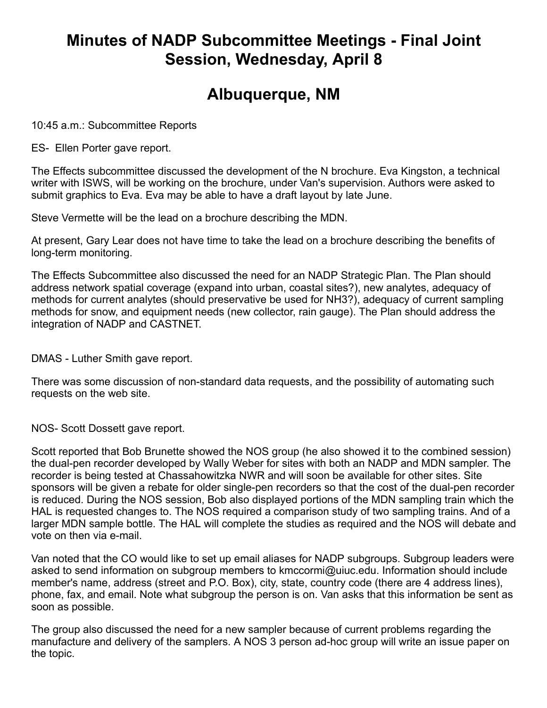## **Minutes of NADP Subcommittee Meetings - Final Joint Session, Wednesday, April 8**

## **Albuquerque, NM**

10:45 a.m.: Subcommittee Reports

ES- Ellen Porter gave report.

The Effects subcommittee discussed the development of the N brochure. Eva Kingston, a technical writer with ISWS, will be working on the brochure, under Van's supervision. Authors were asked to submit graphics to Eva. Eva may be able to have a draft layout by late June.

Steve Vermette will be the lead on a brochure describing the MDN.

At present, Gary Lear does not have time to take the lead on a brochure describing the benefits of long-term monitoring.

The Effects Subcommittee also discussed the need for an NADP Strategic Plan. The Plan should address network spatial coverage (expand into urban, coastal sites?), new analytes, adequacy of methods for current analytes (should preservative be used for NH3?), adequacy of current sampling methods for snow, and equipment needs (new collector, rain gauge). The Plan should address the integration of NADP and CASTNET.

DMAS - Luther Smith gave report.

There was some discussion of non-standard data requests, and the possibility of automating such requests on the web site.

NOS- Scott Dossett gave report.

Scott reported that Bob Brunette showed the NOS group (he also showed it to the combined session) the dual-pen recorder developed by Wally Weber for sites with both an NADP and MDN sampler. The recorder is being tested at Chassahowitzka NWR and will soon be available for other sites. Site sponsors will be given a rebate for older single-pen recorders so that the cost of the dual-pen recorder is reduced. During the NOS session, Bob also displayed portions of the MDN sampling train which the HAL is requested changes to. The NOS required a comparison study of two sampling trains. And of a larger MDN sample bottle. The HAL will complete the studies as required and the NOS will debate and vote on then via e-mail.

Van noted that the CO would like to set up email aliases for NADP subgroups. Subgroup leaders were asked to send information on subgroup members to kmccormi@uiuc.edu. Information should include member's name, address (street and P.O. Box), city, state, country code (there are 4 address lines), phone, fax, and email. Note what subgroup the person is on. Van asks that this information be sent as soon as possible.

The group also discussed the need for a new sampler because of current problems regarding the manufacture and delivery of the samplers. A NOS 3 person ad-hoc group will write an issue paper on the topic.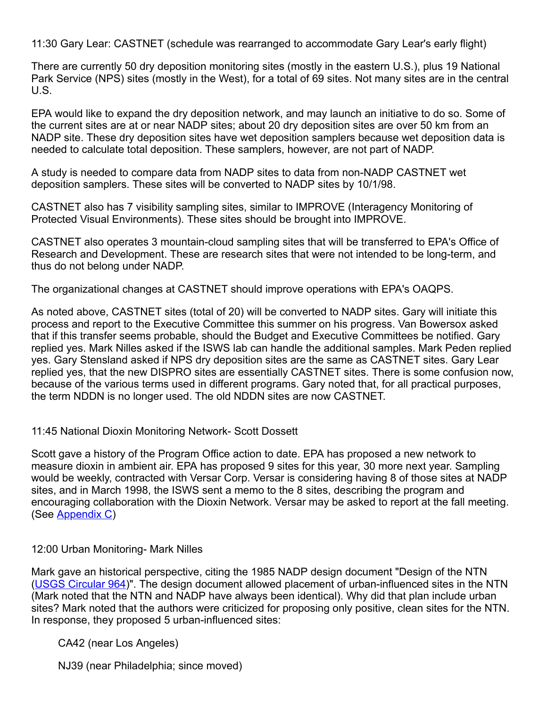11:30 Gary Lear: CASTNET (schedule was rearranged to accommodate Gary Lear's early flight)

There are currently 50 dry deposition monitoring sites (mostly in the eastern U.S.), plus 19 National Park Service (NPS) sites (mostly in the West), for a total of 69 sites. Not many sites are in the central U.S.

EPA would like to expand the dry deposition network, and may launch an initiative to do so. Some of the current sites are at or near NADP sites; about 20 dry deposition sites are over 50 km from an NADP site. These dry deposition sites have wet deposition samplers because wet deposition data is needed to calculate total deposition. These samplers, however, are not part of NADP.

A study is needed to compare data from NADP sites to data from non-NADP CASTNET wet deposition samplers. These sites will be converted to NADP sites by 10/1/98.

CASTNET also has 7 visibility sampling sites, similar to IMPROVE (Interagency Monitoring of Protected Visual Environments). These sites should be brought into IMPROVE.

CASTNET also operates 3 mountain-cloud sampling sites that will be transferred to EPA's Office of Research and Development. These are research sites that were not intended to be long-term, and thus do not belong under NADP.

The organizational changes at CASTNET should improve operations with EPA's OAQPS.

As noted above, CASTNET sites (total of 20) will be converted to NADP sites. Gary will initiate this process and report to the Executive Committee this summer on his progress. Van Bowersox asked that if this transfer seems probable, should the Budget and Executive Committees be notified. Gary replied yes. Mark Nilles asked if the ISWS lab can handle the additional samples. Mark Peden replied yes. Gary Stensland asked if NPS dry deposition sites are the same as CASTNET sites. Gary Lear replied yes, that the new DISPRO sites are essentially CASTNET sites. There is some confusion now, because of the various terms used in different programs. Gary noted that, for all practical purposes, the term NDDN is no longer used. The old NDDN sites are now CASTNET.

### 11:45 National Dioxin Monitoring Network- Scott Dossett

Scott gave a history of the Program Office action to date. EPA has proposed a new network to measure dioxin in ambient air. EPA has proposed 9 sites for this year, 30 more next year. Sampling would be weekly, contracted with Versar Corp. Versar is considering having 8 of those sites at NADP sites, and in March 1998, the ISWS sent a memo to the 8 sites, describing the program and encouraging collaboration with the Dioxin Network. Versar may be asked to report at the fall meeting. (See [Appendix](file://slhnadpfile/Program%20Office/Meetings/oldWebMinutes/spr98/AppCNDAMN.html) C)

## 12:00 Urban Monitoring- Mark Nilles

Mark gave an historical perspective, citing the 1985 NADP design document "Design of the NTN ([USGS Circular 964](file://slhnadpfile/Program%20Office/Meetings/oldWebMinutes/spr98/Urban%20Monitoring%20and%20NADP.html))". The design document allowed placement of urban-influenced sites in the NTN (Mark noted that the NTN and NADP have always been identical). Why did that plan include urban sites? Mark noted that the authors were criticized for proposing only positive, clean sites for the NTN. In response, they proposed 5 urban-influenced sites:

CA42 (near Los Angeles)

NJ39 (near Philadelphia; since moved)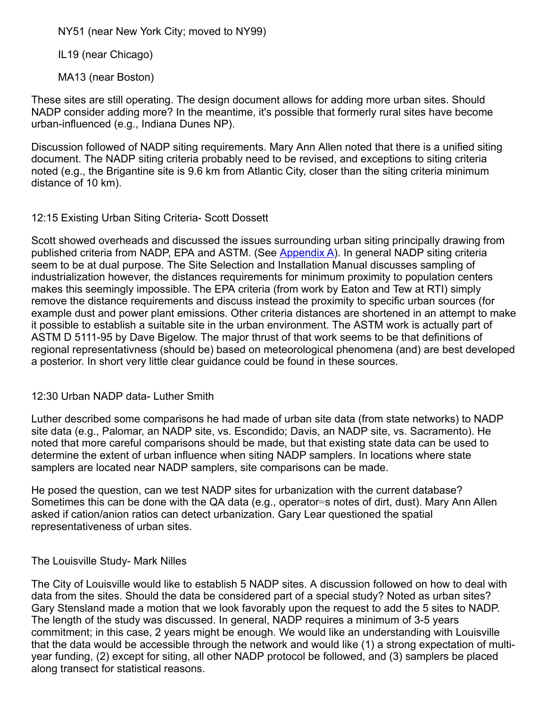NY51 (near New York City; moved to NY99)

IL19 (near Chicago)

MA13 (near Boston)

These sites are still operating. The design document allows for adding more urban sites. Should NADP consider adding more? In the meantime, it's possible that formerly rural sites have become urban-influenced (e.g., Indiana Dunes NP).

Discussion followed of NADP siting requirements. Mary Ann Allen noted that there is a unified siting document. The NADP siting criteria probably need to be revised, and exceptions to siting criteria noted (e.g., the Brigantine site is 9.6 km from Atlantic City, closer than the siting criteria minimum distance of 10 km).

12:15 Existing Urban Siting Criteria- Scott Dossett

Scott showed overheads and discussed the issues surrounding urban siting principally drawing from published criteria from NADP, EPA and ASTM. (See [Appendix](file://slhnadpfile/Program%20Office/Meetings/oldWebMinutes/spr98/AppASiteCrit.html) A). In general NADP siting criteria seem to be at dual purpose. The Site Selection and Installation Manual discusses sampling of industrialization however, the distances requirements for minimum proximity to population centers makes this seemingly impossible. The EPA criteria (from work by Eaton and Tew at RTI) simply remove the distance requirements and discuss instead the proximity to specific urban sources (for example dust and power plant emissions. Other criteria distances are shortened in an attempt to make it possible to establish a suitable site in the urban environment. The ASTM work is actually part of ASTM D 5111-95 by Dave Bigelow. The major thrust of that work seems to be that definitions of regional representativness (should be) based on meteorological phenomena (and) are best developed a posterior. In short very little clear guidance could be found in these sources.

## 12:30 Urban NADP data- Luther Smith

Luther described some comparisons he had made of urban site data (from state networks) to NADP site data (e.g., Palomar, an NADP site, vs. Escondido; Davis, an NADP site, vs. Sacramento). He noted that more careful comparisons should be made, but that existing state data can be used to determine the extent of urban influence when siting NADP samplers. In locations where state samplers are located near NADP samplers, site comparisons can be made.

He posed the question, can we test NADP sites for urbanization with the current database? Sometimes this can be done with the QA data (e.g., operator=s notes of dirt, dust). Mary Ann Allen asked if cation/anion ratios can detect urbanization. Gary Lear questioned the spatial representativeness of urban sites.

The Louisville Study- Mark Nilles

The City of Louisville would like to establish 5 NADP sites. A discussion followed on how to deal with data from the sites. Should the data be considered part of a special study? Noted as urban sites? Gary Stensland made a motion that we look favorably upon the request to add the 5 sites to NADP. The length of the study was discussed. In general, NADP requires a minimum of 3-5 years commitment; in this case, 2 years might be enough. We would like an understanding with Louisville that the data would be accessible through the network and would like (1) a strong expectation of multiyear funding, (2) except for siting, all other NADP protocol be followed, and (3) samplers be placed along transect for statistical reasons.